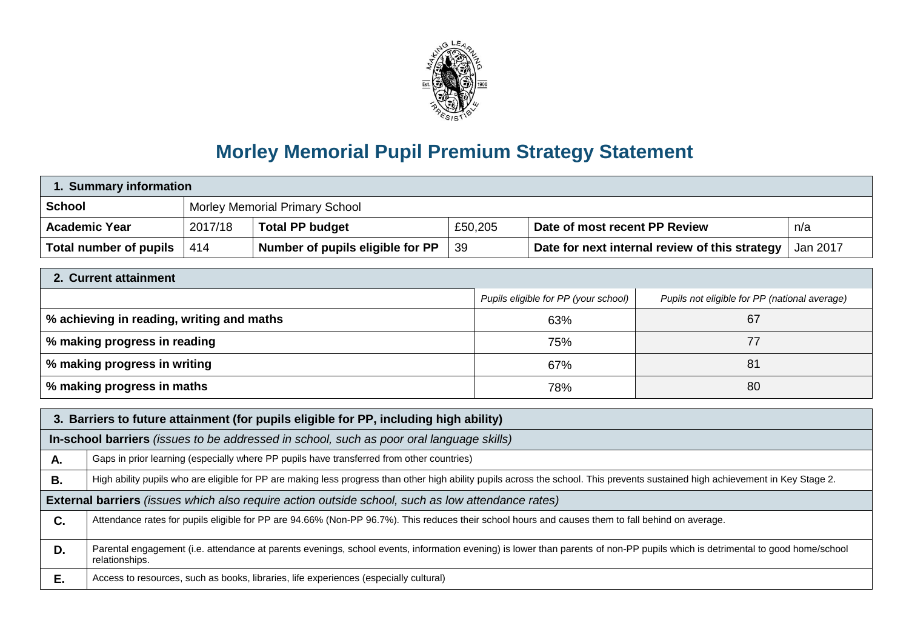

## **Morley Memorial Pupil Premium Strategy Statement**

| 1. Summary information                                                                                                                                                                                |                                                                                                                                                   |         |                                                                                                                                                                                 |     |                                      |                                                |                                               |  |
|-------------------------------------------------------------------------------------------------------------------------------------------------------------------------------------------------------|---------------------------------------------------------------------------------------------------------------------------------------------------|---------|---------------------------------------------------------------------------------------------------------------------------------------------------------------------------------|-----|--------------------------------------|------------------------------------------------|-----------------------------------------------|--|
| <b>School</b><br><b>Morley Memorial Primary School</b>                                                                                                                                                |                                                                                                                                                   |         |                                                                                                                                                                                 |     |                                      |                                                |                                               |  |
|                                                                                                                                                                                                       | <b>Academic Year</b>                                                                                                                              | 2017/18 | <b>Total PP budget</b>                                                                                                                                                          |     | £50,205                              | Date of most recent PP Review<br>n/a           |                                               |  |
|                                                                                                                                                                                                       | <b>Total number of pupils</b>                                                                                                                     | 414     | Number of pupils eligible for PP                                                                                                                                                | 39  |                                      | Date for next internal review of this strategy | Jan 2017                                      |  |
| 2. Current attainment                                                                                                                                                                                 |                                                                                                                                                   |         |                                                                                                                                                                                 |     |                                      |                                                |                                               |  |
|                                                                                                                                                                                                       |                                                                                                                                                   |         |                                                                                                                                                                                 |     |                                      |                                                |                                               |  |
|                                                                                                                                                                                                       |                                                                                                                                                   |         |                                                                                                                                                                                 |     | Pupils eligible for PP (your school) |                                                | Pupils not eligible for PP (national average) |  |
| % achieving in reading, writing and maths                                                                                                                                                             |                                                                                                                                                   |         |                                                                                                                                                                                 | 63% |                                      | 67                                             |                                               |  |
|                                                                                                                                                                                                       | % making progress in reading<br>77<br>75%                                                                                                         |         |                                                                                                                                                                                 |     |                                      |                                                |                                               |  |
| % making progress in writing<br>81<br>67%                                                                                                                                                             |                                                                                                                                                   |         |                                                                                                                                                                                 |     |                                      |                                                |                                               |  |
| % making progress in maths                                                                                                                                                                            |                                                                                                                                                   |         | 78%                                                                                                                                                                             |     | 80                                   |                                                |                                               |  |
|                                                                                                                                                                                                       |                                                                                                                                                   |         |                                                                                                                                                                                 |     |                                      |                                                |                                               |  |
| 3. Barriers to future attainment (for pupils eligible for PP, including high ability)                                                                                                                 |                                                                                                                                                   |         |                                                                                                                                                                                 |     |                                      |                                                |                                               |  |
| In-school barriers (issues to be addressed in school, such as poor oral language skills)                                                                                                              |                                                                                                                                                   |         |                                                                                                                                                                                 |     |                                      |                                                |                                               |  |
| Α.                                                                                                                                                                                                    |                                                                                                                                                   |         | Gaps in prior learning (especially where PP pupils have transferred from other countries)                                                                                       |     |                                      |                                                |                                               |  |
| <b>B.</b>                                                                                                                                                                                             |                                                                                                                                                   |         | High ability pupils who are eligible for PP are making less progress than other high ability pupils across the school. This prevents sustained high achievement in Key Stage 2. |     |                                      |                                                |                                               |  |
| <b>External barriers</b> (issues which also require action outside school, such as low attendance rates)                                                                                              |                                                                                                                                                   |         |                                                                                                                                                                                 |     |                                      |                                                |                                               |  |
| C.                                                                                                                                                                                                    | Attendance rates for pupils eligible for PP are 94.66% (Non-PP 96.7%). This reduces their school hours and causes them to fall behind on average. |         |                                                                                                                                                                                 |     |                                      |                                                |                                               |  |
| Parental engagement (i.e. attendance at parents evenings, school events, information evening) is lower than parents of non-PP pupils which is detrimental to good home/school<br>D.<br>relationships. |                                                                                                                                                   |         |                                                                                                                                                                                 |     |                                      |                                                |                                               |  |
| Ε.                                                                                                                                                                                                    |                                                                                                                                                   |         | Access to resources, such as books, libraries, life experiences (especially cultural)                                                                                           |     |                                      |                                                |                                               |  |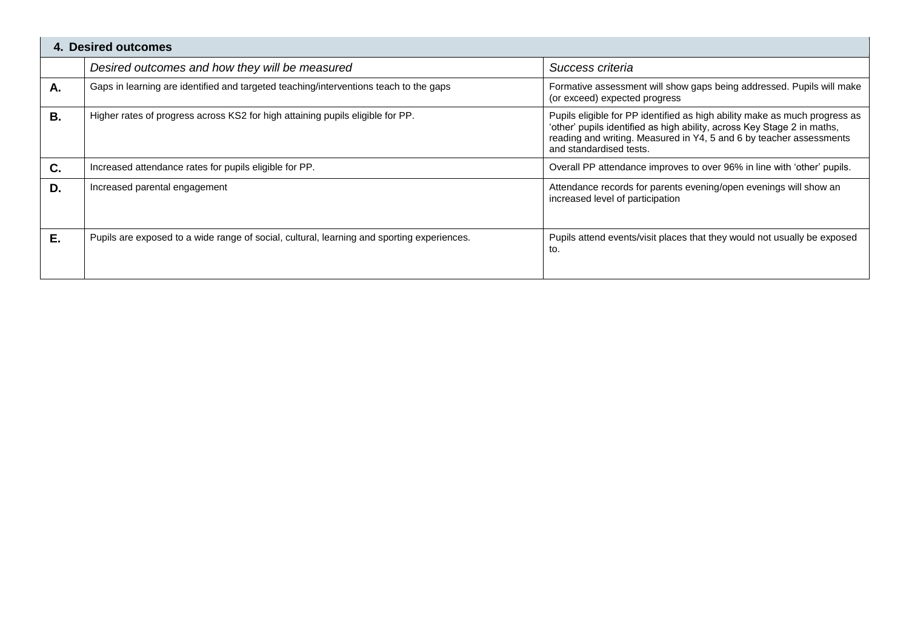| 4. Desired outcomes |                                                                                            |                                                                                                                                                                                                                                                         |  |  |
|---------------------|--------------------------------------------------------------------------------------------|---------------------------------------------------------------------------------------------------------------------------------------------------------------------------------------------------------------------------------------------------------|--|--|
|                     | Desired outcomes and how they will be measured                                             | Success criteria                                                                                                                                                                                                                                        |  |  |
| Α.                  | Gaps in learning are identified and targeted teaching/interventions teach to the gaps      | Formative assessment will show gaps being addressed. Pupils will make<br>(or exceed) expected progress                                                                                                                                                  |  |  |
| <b>B.</b>           | Higher rates of progress across KS2 for high attaining pupils eligible for PP.             | Pupils eligible for PP identified as high ability make as much progress as<br>'other' pupils identified as high ability, across Key Stage 2 in maths,<br>reading and writing. Measured in Y4, 5 and 6 by teacher assessments<br>and standardised tests. |  |  |
| C.                  | Increased attendance rates for pupils eligible for PP.                                     | Overall PP attendance improves to over 96% in line with 'other' pupils.                                                                                                                                                                                 |  |  |
| D.                  | Increased parental engagement                                                              | Attendance records for parents evening/open evenings will show an<br>increased level of participation                                                                                                                                                   |  |  |
| Е.                  | Pupils are exposed to a wide range of social, cultural, learning and sporting experiences. | Pupils attend events/visit places that they would not usually be exposed<br>to.                                                                                                                                                                         |  |  |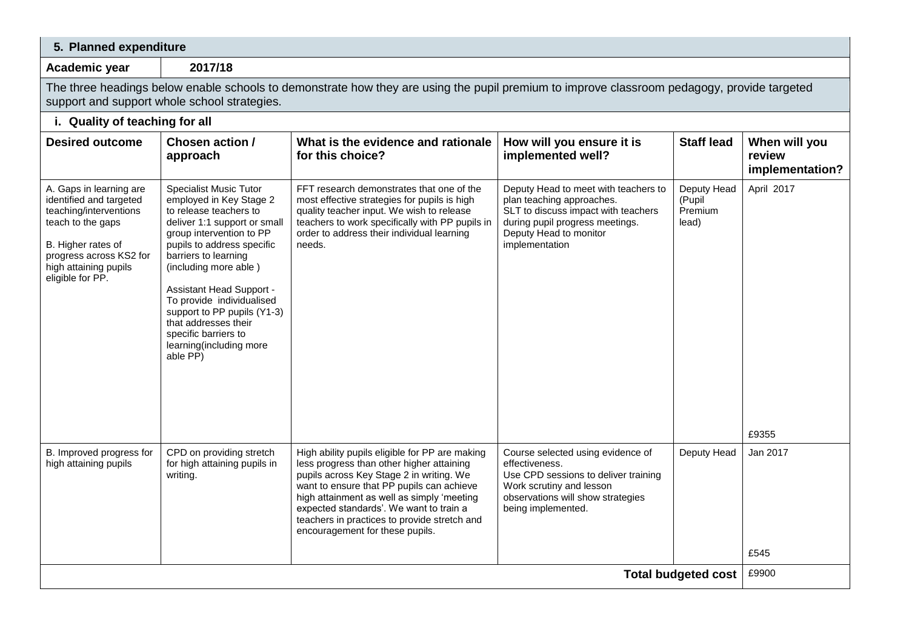| 5. Planned expenditure                                                                                                                                                                          |                                                                                                                                                                                                                                                                                                                                                                                                              |                                                                                                                                                                                                                                                                                                                                                                  |                                                                                                                                                                                         |                                           |                                            |  |  |
|-------------------------------------------------------------------------------------------------------------------------------------------------------------------------------------------------|--------------------------------------------------------------------------------------------------------------------------------------------------------------------------------------------------------------------------------------------------------------------------------------------------------------------------------------------------------------------------------------------------------------|------------------------------------------------------------------------------------------------------------------------------------------------------------------------------------------------------------------------------------------------------------------------------------------------------------------------------------------------------------------|-----------------------------------------------------------------------------------------------------------------------------------------------------------------------------------------|-------------------------------------------|--------------------------------------------|--|--|
| Academic year                                                                                                                                                                                   | 2017/18                                                                                                                                                                                                                                                                                                                                                                                                      |                                                                                                                                                                                                                                                                                                                                                                  |                                                                                                                                                                                         |                                           |                                            |  |  |
| The three headings below enable schools to demonstrate how they are using the pupil premium to improve classroom pedagogy, provide targeted<br>support and support whole school strategies.     |                                                                                                                                                                                                                                                                                                                                                                                                              |                                                                                                                                                                                                                                                                                                                                                                  |                                                                                                                                                                                         |                                           |                                            |  |  |
| i. Quality of teaching for all                                                                                                                                                                  |                                                                                                                                                                                                                                                                                                                                                                                                              |                                                                                                                                                                                                                                                                                                                                                                  |                                                                                                                                                                                         |                                           |                                            |  |  |
| <b>Desired outcome</b>                                                                                                                                                                          | Chosen action /<br>approach                                                                                                                                                                                                                                                                                                                                                                                  | What is the evidence and rationale<br>for this choice?                                                                                                                                                                                                                                                                                                           | How will you ensure it is<br>implemented well?                                                                                                                                          | <b>Staff lead</b>                         | When will you<br>review<br>implementation? |  |  |
| A. Gaps in learning are<br>identified and targeted<br>teaching/interventions<br>teach to the gaps<br>B. Higher rates of<br>progress across KS2 for<br>high attaining pupils<br>eligible for PP. | <b>Specialist Music Tutor</b><br>employed in Key Stage 2<br>to release teachers to<br>deliver 1:1 support or small<br>group intervention to PP<br>pupils to address specific<br>barriers to learning<br>(including more able)<br>Assistant Head Support -<br>To provide individualised<br>support to PP pupils (Y1-3)<br>that addresses their<br>specific barriers to<br>learning(including more<br>able PP) | FFT research demonstrates that one of the<br>most effective strategies for pupils is high<br>quality teacher input. We wish to release<br>teachers to work specifically with PP pupils in<br>order to address their individual learning<br>needs.                                                                                                                | Deputy Head to meet with teachers to<br>plan teaching approaches.<br>SLT to discuss impact with teachers<br>during pupil progress meetings.<br>Deputy Head to monitor<br>implementation | Deputy Head<br>(Pupil<br>Premium<br>lead) | April 2017                                 |  |  |
|                                                                                                                                                                                                 |                                                                                                                                                                                                                                                                                                                                                                                                              |                                                                                                                                                                                                                                                                                                                                                                  |                                                                                                                                                                                         |                                           | £9355                                      |  |  |
| B. Improved progress for<br>high attaining pupils                                                                                                                                               | CPD on providing stretch<br>for high attaining pupils in<br>writing.                                                                                                                                                                                                                                                                                                                                         | High ability pupils eligible for PP are making<br>less progress than other higher attaining<br>pupils across Key Stage 2 in writing. We<br>want to ensure that PP pupils can achieve<br>high attainment as well as simply 'meeting<br>expected standards'. We want to train a<br>teachers in practices to provide stretch and<br>encouragement for these pupils. | Course selected using evidence of<br>effectiveness.<br>Use CPD sessions to deliver training<br>Work scrutiny and lesson<br>observations will show strategies<br>being implemented.      | Deputy Head                               | Jan 2017<br>£545                           |  |  |
| <b>Total budgeted cost</b>                                                                                                                                                                      |                                                                                                                                                                                                                                                                                                                                                                                                              |                                                                                                                                                                                                                                                                                                                                                                  |                                                                                                                                                                                         |                                           |                                            |  |  |
|                                                                                                                                                                                                 |                                                                                                                                                                                                                                                                                                                                                                                                              |                                                                                                                                                                                                                                                                                                                                                                  |                                                                                                                                                                                         |                                           |                                            |  |  |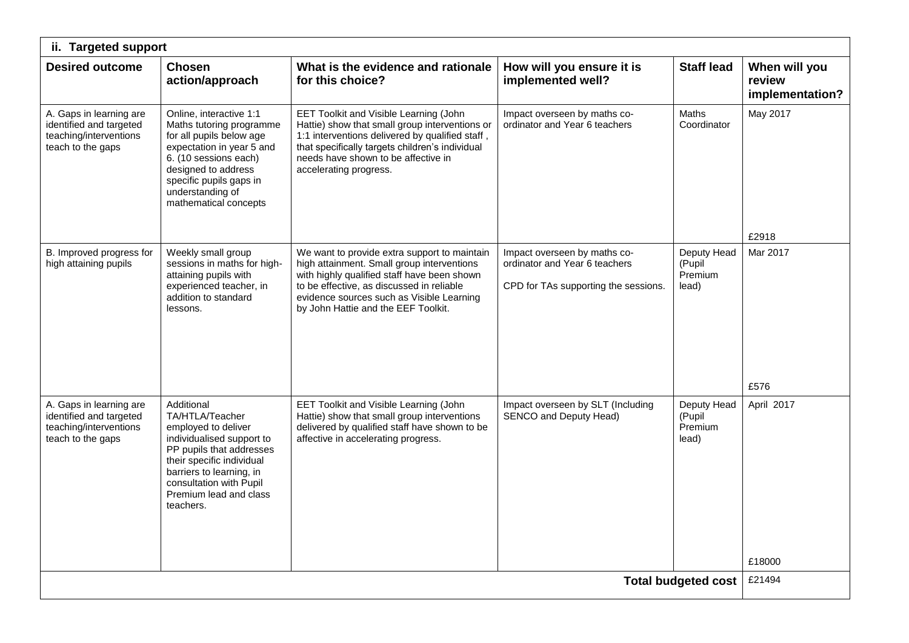| ii. Targeted support                                                                                                         |                                                                                                                                                                                                                                      |                                                                                                                                                                                                                                                                            |                                                                                                       |                                           |                                            |  |
|------------------------------------------------------------------------------------------------------------------------------|--------------------------------------------------------------------------------------------------------------------------------------------------------------------------------------------------------------------------------------|----------------------------------------------------------------------------------------------------------------------------------------------------------------------------------------------------------------------------------------------------------------------------|-------------------------------------------------------------------------------------------------------|-------------------------------------------|--------------------------------------------|--|
| <b>Desired outcome</b><br><b>Chosen</b>                                                                                      | action/approach                                                                                                                                                                                                                      | What is the evidence and rationale<br>for this choice?                                                                                                                                                                                                                     | How will you ensure it is<br>implemented well?                                                        | <b>Staff lead</b>                         | When will you<br>review<br>implementation? |  |
| A. Gaps in learning are<br>identified and targeted<br>teaching/interventions<br>teach to the gaps                            | Online, interactive 1:1<br>Maths tutoring programme<br>for all pupils below age<br>expectation in year 5 and<br>6. (10 sessions each)<br>designed to address<br>specific pupils gaps in<br>understanding of<br>mathematical concepts | EET Toolkit and Visible Learning (John<br>Hattie) show that small group interventions or<br>1:1 interventions delivered by qualified staff,<br>that specifically targets children's individual<br>needs have shown to be affective in<br>accelerating progress.            | Impact overseen by maths co-<br>ordinator and Year 6 teachers                                         | Maths<br>Coordinator                      | May 2017<br>£2918                          |  |
| B. Improved progress for<br>high attaining pupils<br>lessons.                                                                | Weekly small group<br>sessions in maths for high-<br>attaining pupils with<br>experienced teacher, in<br>addition to standard                                                                                                        | We want to provide extra support to maintain<br>high attainment. Small group interventions<br>with highly qualified staff have been shown<br>to be effective, as discussed in reliable<br>evidence sources such as Visible Learning<br>by John Hattie and the EEF Toolkit. | Impact overseen by maths co-<br>ordinator and Year 6 teachers<br>CPD for TAs supporting the sessions. | Deputy Head<br>(Pupil<br>Premium<br>lead) | Mar 2017<br>£576                           |  |
| A. Gaps in learning are<br>Additional<br>identified and targeted<br>teaching/interventions<br>teach to the gaps<br>teachers. | TA/HTLA/Teacher<br>employed to deliver<br>individualised support to<br>PP pupils that addresses<br>their specific individual<br>barriers to learning, in<br>consultation with Pupil<br>Premium lead and class                        | EET Toolkit and Visible Learning (John<br>Hattie) show that small group interventions<br>delivered by qualified staff have shown to be<br>affective in accelerating progress.                                                                                              | Impact overseen by SLT (Including<br>SENCO and Deputy Head)                                           | Deputy Head<br>(Pupil<br>Premium<br>lead) | April 2017<br>£18000                       |  |
| <b>Total budgeted cost</b>                                                                                                   |                                                                                                                                                                                                                                      |                                                                                                                                                                                                                                                                            |                                                                                                       |                                           |                                            |  |